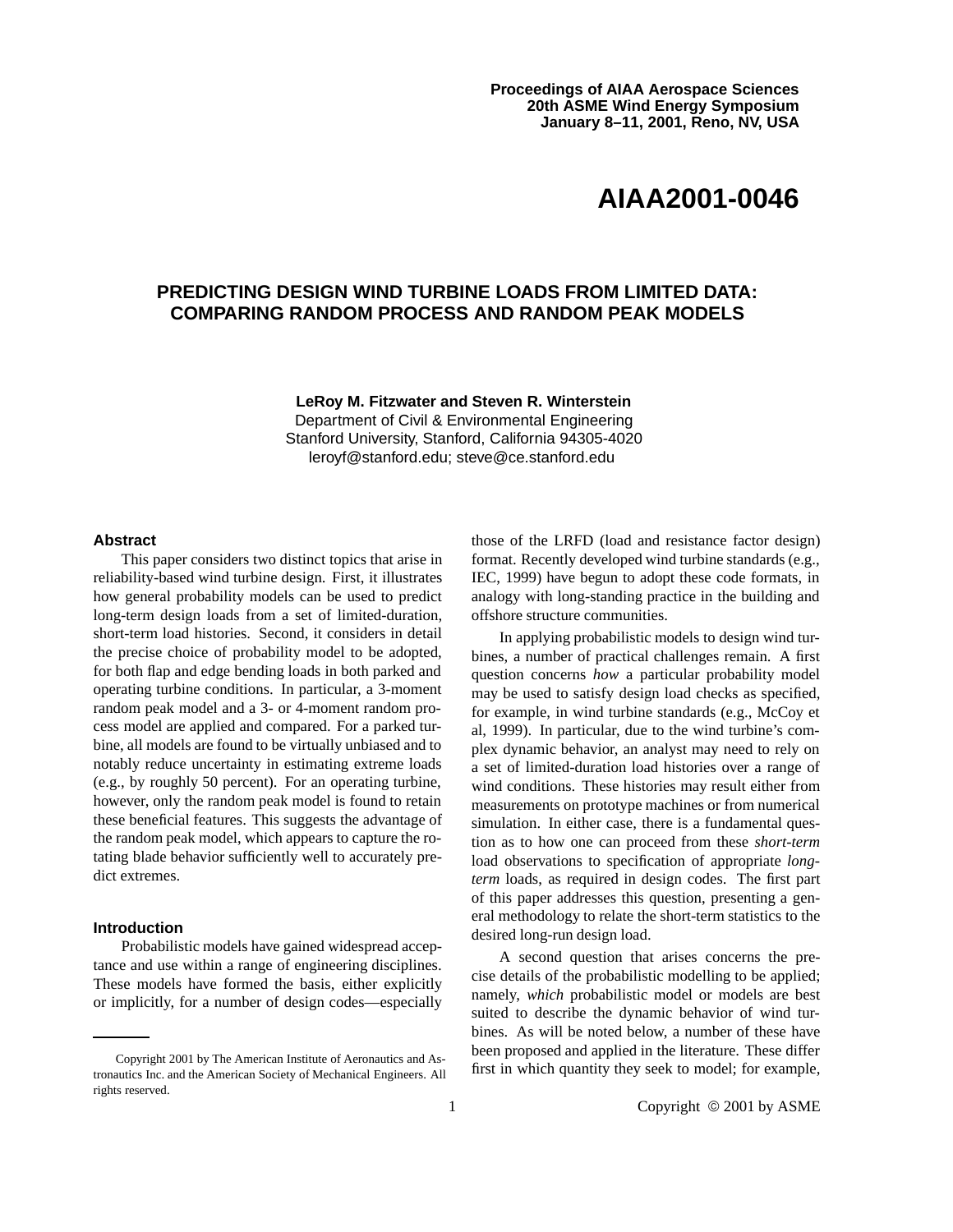# **AIAA2001-0046**

## **PREDICTING DESIGN WIND TURBINE LOADS FROM LIMITED DATA: COMPARING RANDOM PROCESS AND RANDOM PEAK MODELS**

**LeRoy M. Fitzwater and Steven R. Winterstein** Department of Civil & Environmental Engineering Stanford University, Stanford, California 94305-4020 leroyf@stanford.edu; steve@ce.stanford.edu

## **Abstract**

This paper considers two distinct topics that arise in reliability-based wind turbine design. First, it illustrates how general probability models can be used to predict long-term design loads from a set of limited-duration, short-term load histories. Second, it considers in detail the precise choice of probability model to be adopted, for both flap and edge bending loads in both parked and operating turbine conditions. In particular, a 3-moment random peak model and a 3- or 4-moment random process model are applied and compared. For a parked turbine, all models are found to be virtually unbiased and to notably reduce uncertainty in estimating extreme loads (e.g., by roughly 50 percent). For an operating turbine, however, only the random peak model is found to retain these beneficial features. This suggests the advantage of the random peak model, which appears to capture the rotating blade behavior sufficiently well to accurately predict extremes.

#### **Introduction**

Probabilistic models have gained widespread acceptance and use within a range of engineering disciplines. These models have formed the basis, either explicitly or implicitly, for a number of design codes—especially those of the LRFD (load and resistance factor design) format. Recently developed wind turbine standards (e.g., IEC, 1999) have begun to adopt these code formats, in analogy with long-standing practice in the building and offshore structure communities.

In applying probabilistic models to design wind turbines, a number of practical challenges remain. A first question concerns *how* a particular probability model may be used to satisfy design load checks as specified, for example, in wind turbine standards (e.g., McCoy et al, 1999). In particular, due to the wind turbine's complex dynamic behavior, an analyst may need to rely on a set of limited-duration load histories over a range of wind conditions. These histories may result either from measurements on prototype machines or from numerical simulation. In either case, there is a fundamental question as to how one can proceed from these *short-term* load observations to specification of appropriate *longterm* loads, as required in design codes. The first part of this paper addresses this question, presenting a general methodology to relate the short-term statistics to the desired long-run design load.

A second question that arises concerns the precise details of the probabilistic modelling to be applied; namely, *which* probabilistic model or models are best suited to describe the dynamic behavior of wind turbines. As will be noted below, a number of these have been proposed and applied in the literature. These differ first in which quantity they seek to model; for example,

Copyright 2001 by The American Institute of Aeronautics and Astronautics Inc. and the American Society of Mechanical Engineers. All rights reserved.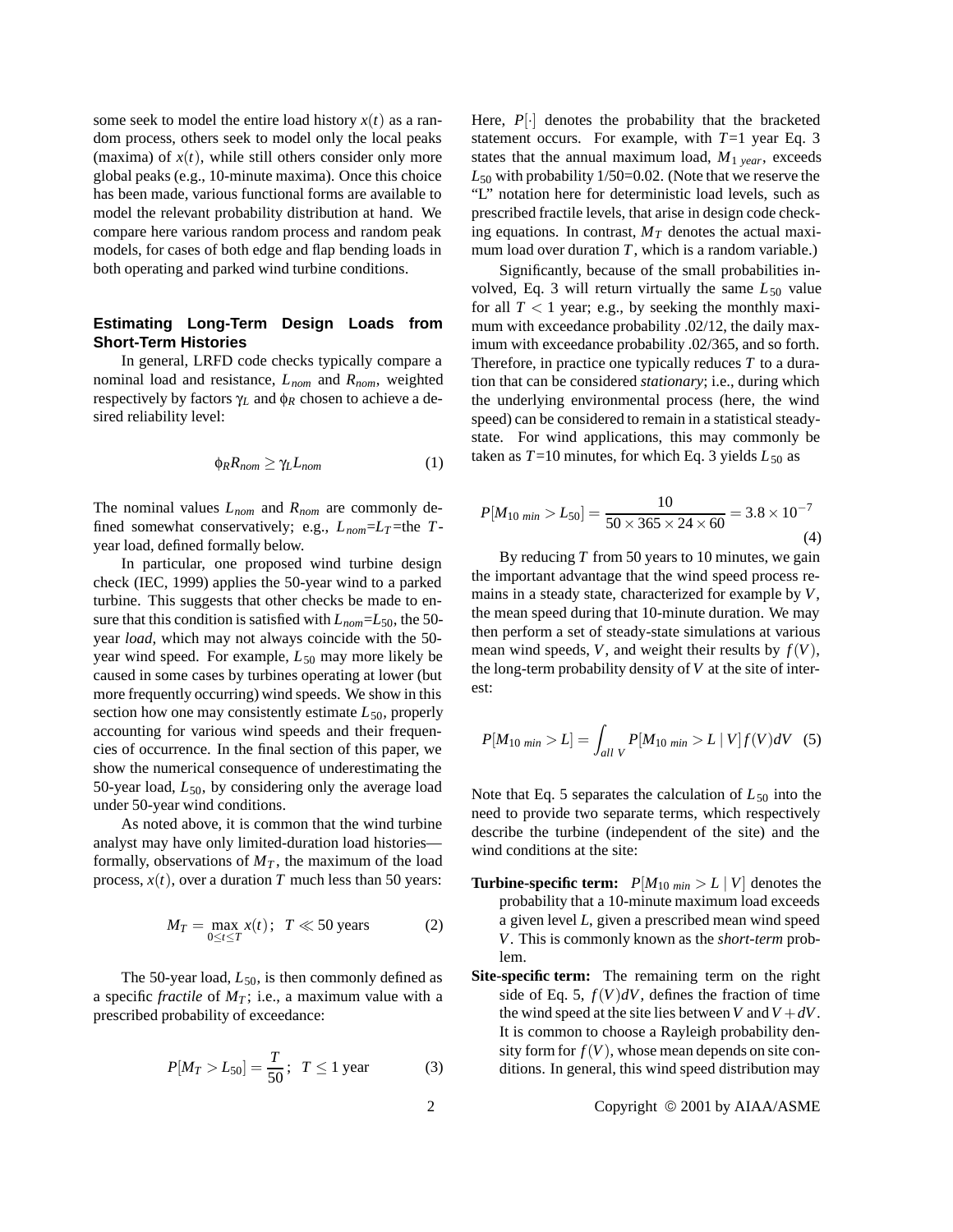some seek to model the entire load history  $x(t)$  as a random process, others seek to model only the local peaks (maxima) of  $x(t)$ , while still others consider only more global peaks (e.g., 10-minute maxima). Once this choice has been made, various functional forms are available to model the relevant probability distribution at hand. We compare here various random process and random peak models, for cases of both edge and flap bending loads in both operating and parked wind turbine conditions.

## **Estimating Long-Term Design Loads from Short-Term Histories**

In general, LRFD code checks typically compare a nominal load and resistance, *Lnom* and *Rnom*, weighted respectively by factors γ*<sup>L</sup>* and φ*<sup>R</sup>* chosen to achieve a desired reliability level:

$$
\phi_R R_{nom} \ge \gamma_L L_{nom} \tag{1}
$$

The nominal values *Lnom* and *Rnom* are commonly defined somewhat conservatively; e.g., *Lnom*=*LT* =the *T*year load, defined formally below.

In particular, one proposed wind turbine design check (IEC, 1999) applies the 50-year wind to a parked turbine. This suggests that other checks be made to ensure that this condition is satisfied with *Lnom*=*L*50, the 50 year *load*, which may not always coincide with the 50 year wind speed. For example,  $L_{50}$  may more likely be caused in some cases by turbines operating at lower (but more frequently occurring) wind speeds. We show in this section how one may consistently estimate  $L_{50}$ , properly accounting for various wind speeds and their frequencies of occurrence. In the final section of this paper, we show the numerical consequence of underestimating the 50-year load,  $L_{50}$ , by considering only the average load under 50-year wind conditions.

As noted above, it is common that the wind turbine analyst may have only limited-duration load histories formally, observations of  $M<sub>T</sub>$ , the maximum of the load process,  $x(t)$ , over a duration *T* much less than 50 years:

$$
M_T = \max_{0 \le t \le T} x(t); \ T \ll 50 \text{ years}
$$
 (2)

The 50-year load,  $L_{50}$ , is then commonly defined as a specific *fractile* of  $M_T$ ; i.e., a maximum value with a prescribed probability of exceedance:

$$
P[M_T > L_{50}] = \frac{T}{50}; \ \ T \le 1 \text{ year}
$$
 (3)

Here,  $P[\cdot]$  denotes the probability that the bracketed statement occurs. For example, with  $T=1$  year Eq. 3 states that the annual maximum load,  $M_{1 \text{ year}}$ , exceeds *L*<sup>50</sup> with probability 1/50=0.02. (Note that we reserve the "L" notation here for deterministic load levels, such as prescribed fractile levels, that arise in design code checking equations. In contrast,  $M_T$  denotes the actual maximum load over duration  $T$ , which is a random variable.)

Significantly, because of the small probabilities involved, Eq. 3 will return virtually the same  $L_{50}$  value for all  $T < 1$  year; e.g., by seeking the monthly maximum with exceedance probability .02/12, the daily maximum with exceedance probability .02/365, and so forth. Therefore, in practice one typically reduces *T* to a duration that can be considered *stationary*; i.e., during which the underlying environmental process (here, the wind speed) can be considered to remain in a statistical steadystate. For wind applications, this may commonly be taken as  $T=10$  minutes, for which Eq. 3 yields  $L_{50}$  as

$$
P[M_{10 \text{ min}} > L_{50}] = \frac{10}{50 \times 365 \times 24 \times 60} = 3.8 \times 10^{-7}
$$
\n(4)

By reducing *T* from 50 years to 10 minutes, we gain the important advantage that the wind speed process remains in a steady state, characterized for example by *V*, the mean speed during that 10-minute duration. We may then perform a set of steady-state simulations at various mean wind speeds, *V*, and weight their results by  $f(V)$ , the long-term probability density of *V* at the site of interest:

$$
P[M_{10 \; min} > L] = \int_{all \; V} P[M_{10 \; min} > L \; | \; V] f(V) dV \quad (5)
$$

Note that Eq. 5 separates the calculation of *L*<sup>50</sup> into the need to provide two separate terms, which respectively describe the turbine (independent of the site) and the wind conditions at the site:

- **Turbine-specific term:**  $P[M_{10 \text{ min}} > L | V]$  denotes the probability that a 10-minute maximum load exceeds a given level *L*, given a prescribed mean wind speed *V*. This is commonly known as the *short-term* problem.
- **Site-specific term:** The remaining term on the right side of Eq. 5,  $f(V)dV$ , defines the fraction of time the wind speed at the site lies between *V* and  $V + dV$ . It is common to choose a Rayleigh probability density form for  $f(V)$ , whose mean depends on site conditions. In general, this wind speed distribution may

### 2 Copyright © 2001 by AIAA/ASME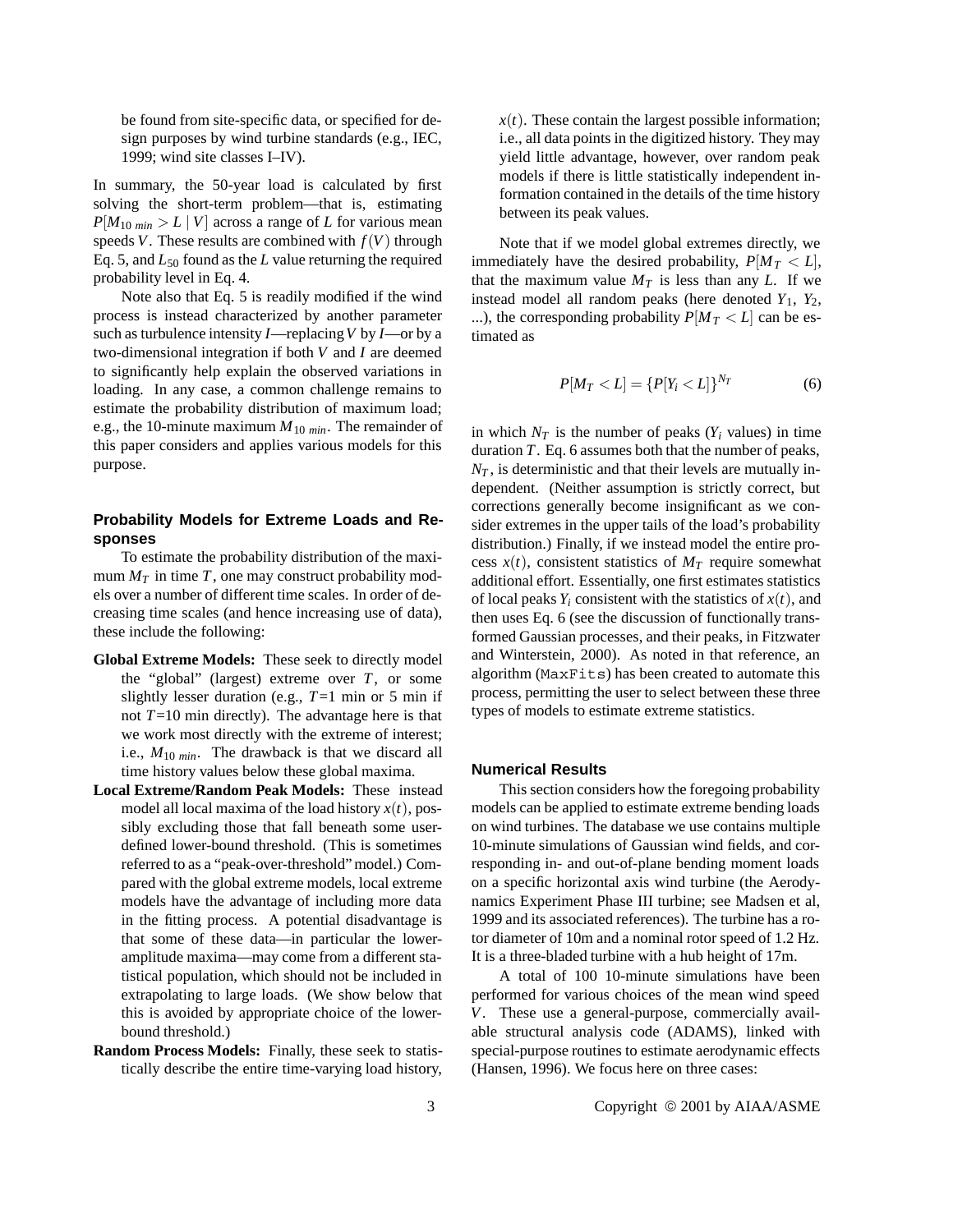be found from site-specific data, or specified for design purposes by wind turbine standards (e.g., IEC, 1999; wind site classes I–IV).

In summary, the 50-year load is calculated by first solving the short-term problem—that is, estimating  $P[M_{10 \text{ min}} > L | V]$  across a range of *L* for various mean speeds *V*. These results are combined with  $f(V)$  through Eq. 5, and *L*<sup>50</sup> found as the *L* value returning the required probability level in Eq. 4.

Note also that Eq. 5 is readily modified if the wind process is instead characterized by another parameter such as turbulence intensity *I*—replacing*V* by *I*—or by a two-dimensional integration if both *V* and *I* are deemed to significantly help explain the observed variations in loading. In any case, a common challenge remains to estimate the probability distribution of maximum load; e.g., the 10-minute maximum *M*<sup>10</sup> *min*. The remainder of this paper considers and applies various models for this purpose.

## **Probability Models for Extreme Loads and Responses**

To estimate the probability distribution of the maximum  $M_T$  in time  $T$ , one may construct probability models over a number of different time scales. In order of decreasing time scales (and hence increasing use of data), these include the following:

- **Global Extreme Models:** These seek to directly model the "global" (largest) extreme over *T*, or some slightly lesser duration (e.g.,  $T=1$  min or 5 min if not *T*=10 min directly). The advantage here is that we work most directly with the extreme of interest; i.e., *M*<sup>10</sup> *min*. The drawback is that we discard all time history values below these global maxima.
- **Local Extreme/Random Peak Models:** These instead model all local maxima of the load history  $x(t)$ , possibly excluding those that fall beneath some userdefined lower-bound threshold. (This is sometimes referred to as a "peak-over-threshold" model.) Compared with the global extreme models, local extreme models have the advantage of including more data in the fitting process. A potential disadvantage is that some of these data—in particular the loweramplitude maxima—may come from a different statistical population, which should not be included in extrapolating to large loads. (We show below that this is avoided by appropriate choice of the lowerbound threshold.)
- **Random Process Models:** Finally, these seek to statistically describe the entire time-varying load history,

 $x(t)$ . These contain the largest possible information; i.e., all data points in the digitized history. They may yield little advantage, however, over random peak models if there is little statistically independent information contained in the details of the time history between its peak values.

Note that if we model global extremes directly, we immediately have the desired probability,  $P[M_T < L]$ , that the maximum value  $M_T$  is less than any *L*. If we instead model all random peaks (here denoted  $Y_1$ ,  $Y_2$ , ...), the corresponding probability  $P[M_T < L]$  can be estimated as

$$
P[M_T < L] = \{P[Y_i < L]\}^{N_T} \tag{6}
$$

in which  $N_T$  is the number of peaks ( $Y_i$  values) in time duration *T*. Eq. 6 assumes both that the number of peaks,  $N_T$ , is deterministic and that their levels are mutually independent. (Neither assumption is strictly correct, but corrections generally become insignificant as we consider extremes in the upper tails of the load's probability distribution.) Finally, if we instead model the entire process  $x(t)$ , consistent statistics of  $M_T$  require somewhat additional effort. Essentially, one first estimates statistics of local peaks  $Y_i$  consistent with the statistics of  $x(t)$ , and then uses Eq. 6 (see the discussion of functionally transformed Gaussian processes, and their peaks, in Fitzwater and Winterstein, 2000). As noted in that reference, an algorithm (MaxFits) has been created to automate this process, permitting the user to select between these three types of models to estimate extreme statistics.

## **Numerical Results**

This section considers how the foregoing probability models can be applied to estimate extreme bending loads on wind turbines. The database we use contains multiple 10-minute simulations of Gaussian wind fields, and corresponding in- and out-of-plane bending moment loads on a specific horizontal axis wind turbine (the Aerodynamics Experiment Phase III turbine; see Madsen et al, 1999 and its associated references). The turbine has a rotor diameter of 10m and a nominal rotor speed of 1.2 Hz. It is a three-bladed turbine with a hub height of 17m.

A total of 100 10-minute simulations have been performed for various choices of the mean wind speed *V*. These use a general-purpose, commercially available structural analysis code (ADAMS), linked with special-purpose routines to estimate aerodynamic effects (Hansen, 1996). We focus here on three cases: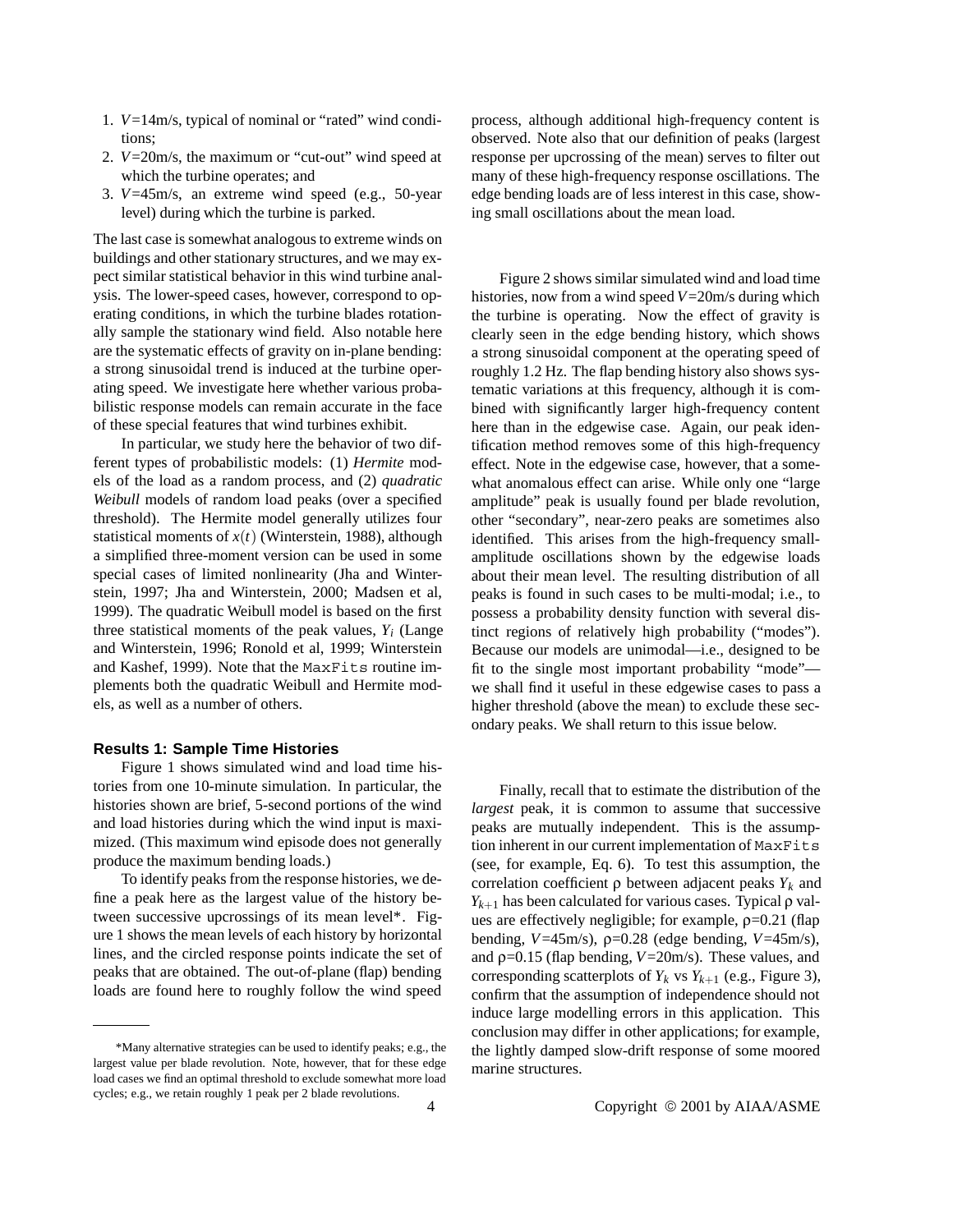- 1. *V*=14m/s, typical of nominal or "rated" wind conditions;
- 2. *V*=20m/s, the maximum or "cut-out" wind speed at which the turbine operates; and
- 3. *V*=45m/s, an extreme wind speed (e.g., 50-year level) during which the turbine is parked.

The last case is somewhat analogous to extreme winds on buildings and other stationary structures, and we may expect similar statistical behavior in this wind turbine analysis. The lower-speed cases, however, correspond to operating conditions, in which the turbine blades rotationally sample the stationary wind field. Also notable here are the systematic effects of gravity on in-plane bending: a strong sinusoidal trend is induced at the turbine operating speed. We investigate here whether various probabilistic response models can remain accurate in the face of these special features that wind turbines exhibit.

In particular, we study here the behavior of two different types of probabilistic models: (1) *Hermite* models of the load as a random process, and (2) *quadratic Weibull* models of random load peaks (over a specified threshold). The Hermite model generally utilizes four statistical moments of *x*(*t*) (Winterstein, 1988), although a simplified three-moment version can be used in some special cases of limited nonlinearity (Jha and Winterstein, 1997; Jha and Winterstein, 2000; Madsen et al, 1999). The quadratic Weibull model is based on the first three statistical moments of the peak values,  $Y_i$  (Lange and Winterstein, 1996; Ronold et al, 1999; Winterstein and Kashef, 1999). Note that the MaxFits routine implements both the quadratic Weibull and Hermite models, as well as a number of others.

#### **Results 1: Sample Time Histories**

Figure 1 shows simulated wind and load time histories from one 10-minute simulation. In particular, the histories shown are brief, 5-second portions of the wind and load histories during which the wind input is maximized. (This maximum wind episode does not generally produce the maximum bending loads.)

To identify peaks from the response histories, we define a peak here as the largest value of the history between successive upcrossings of its mean level\*. Figure 1 shows the mean levels of each history by horizontal lines, and the circled response points indicate the set of peaks that are obtained. The out-of-plane (flap) bending loads are found here to roughly follow the wind speed

process, although additional high-frequency content is observed. Note also that our definition of peaks (largest response per upcrossing of the mean) serves to filter out many of these high-frequency response oscillations. The edge bending loads are of less interest in this case, showing small oscillations about the mean load.

Figure 2 shows similar simulated wind and load time histories, now from a wind speed *V*=20m/s during which the turbine is operating. Now the effect of gravity is clearly seen in the edge bending history, which shows a strong sinusoidal component at the operating speed of roughly 1.2 Hz. The flap bending history also shows systematic variations at this frequency, although it is combined with significantly larger high-frequency content here than in the edgewise case. Again, our peak identification method removes some of this high-frequency effect. Note in the edgewise case, however, that a somewhat anomalous effect can arise. While only one "large amplitude" peak is usually found per blade revolution, other "secondary", near-zero peaks are sometimes also identified. This arises from the high-frequency smallamplitude oscillations shown by the edgewise loads about their mean level. The resulting distribution of all peaks is found in such cases to be multi-modal; i.e., to possess a probability density function with several distinct regions of relatively high probability ("modes"). Because our models are unimodal—i.e., designed to be fit to the single most important probability "mode" we shall find it useful in these edgewise cases to pass a higher threshold (above the mean) to exclude these secondary peaks. We shall return to this issue below.

Finally, recall that to estimate the distribution of the *largest* peak, it is common to assume that successive peaks are mutually independent. This is the assumption inherent in our current implementation of MaxFits (see, for example, Eq. 6). To test this assumption, the correlation coefficient ρ between adjacent peaks *Yk* and  $Y_{k+1}$  has been calculated for various cases. Typical  $\rho$  values are effectively negligible; for example,  $\rho$ =0.21 (flap bending,  $V=45 \text{m/s}$ ,  $\rho=0.28$  (edge bending,  $V=45 \text{m/s}$ ), and ρ=0.15 (flap bending, *V*=20m/s). These values, and corresponding scatterplots of  $Y_k$  vs  $Y_{k+1}$  (e.g., Figure 3), confirm that the assumption of independence should not induce large modelling errors in this application. This conclusion may differ in other applications; for example, the lightly damped slow-drift response of some moored marine structures.

<sup>\*</sup>Many alternative strategies can be used to identify peaks; e.g., the largest value per blade revolution. Note, however, that for these edge load cases we find an optimal threshold to exclude somewhat more load cycles; e.g., we retain roughly 1 peak per 2 blade revolutions.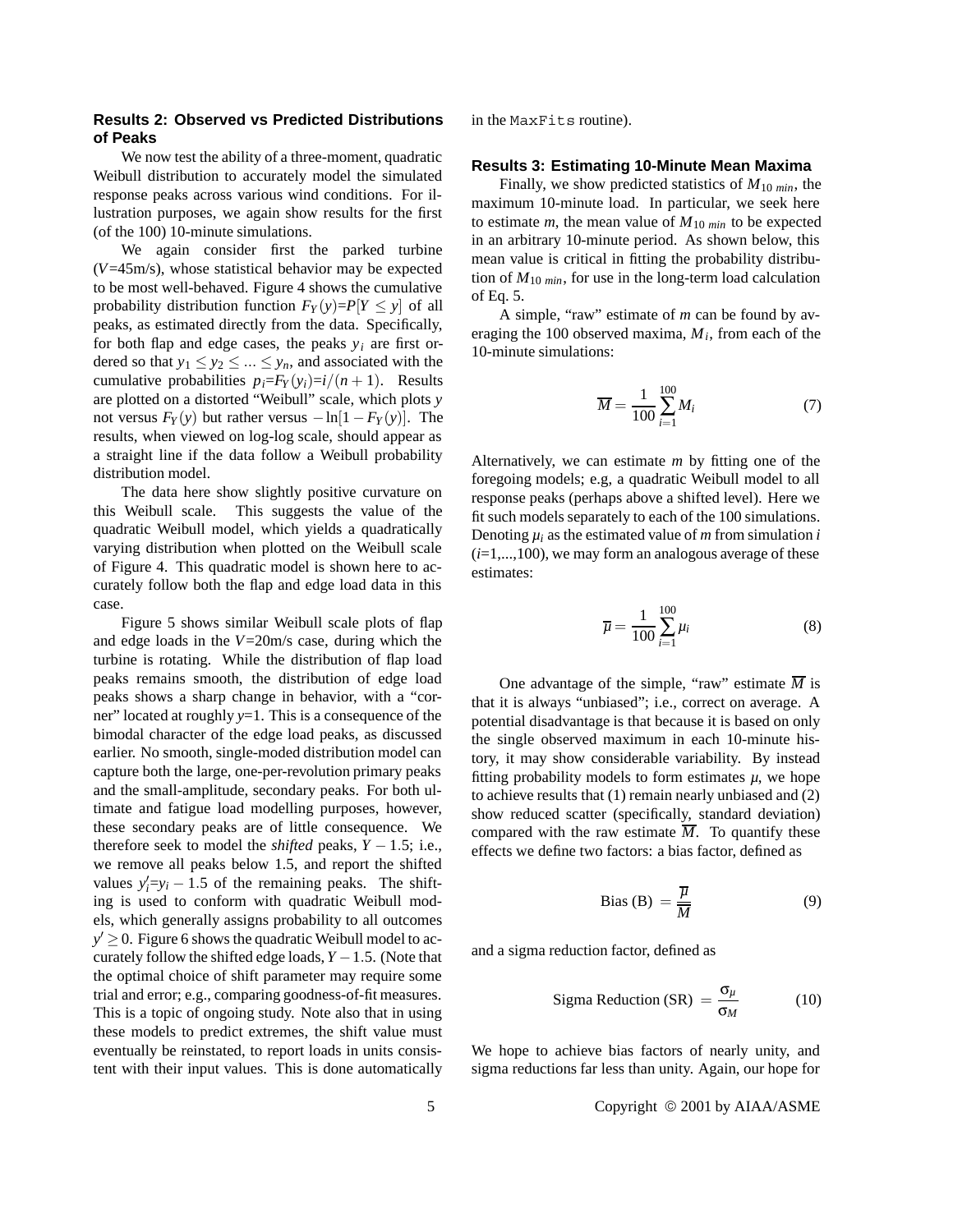## **Results 2: Observed vs Predicted Distributions of Peaks**

We now test the ability of a three-moment, quadratic Weibull distribution to accurately model the simulated response peaks across various wind conditions. For illustration purposes, we again show results for the first (of the 100) 10-minute simulations.

We again consider first the parked turbine (*V*=45m/s), whose statistical behavior may be expected to be most well-behaved. Figure 4 shows the cumulative probability distribution function  $F_Y(y)=P[Y \leq y]$  of all peaks, as estimated directly from the data. Specifically, for both flap and edge cases, the peaks  $y_i$  are first ordered so that  $y_1 \le y_2 \le ... \le y_n$ , and associated with the cumulative probabilities  $p_i = F_Y(y_i) = i/(n+1)$ . Results are plotted on a distorted "Weibull" scale, which plots *y* not versus  $F_Y(y)$  but rather versus  $-\ln[1 - F_Y(y)]$ . The results, when viewed on log-log scale, should appear as a straight line if the data follow a Weibull probability distribution model.

The data here show slightly positive curvature on this Weibull scale. This suggests the value of the quadratic Weibull model, which yields a quadratically varying distribution when plotted on the Weibull scale of Figure 4. This quadratic model is shown here to accurately follow both the flap and edge load data in this case.

Figure 5 shows similar Weibull scale plots of flap and edge loads in the *V*=20m/s case, during which the turbine is rotating. While the distribution of flap load peaks remains smooth, the distribution of edge load peaks shows a sharp change in behavior, with a "corner" located at roughly *y*=1. This is a consequence of the bimodal character of the edge load peaks, as discussed earlier. No smooth, single-moded distribution model can capture both the large, one-per-revolution primary peaks and the small-amplitude, secondary peaks. For both ultimate and fatigue load modelling purposes, however, these secondary peaks are of little consequence. We therefore seek to model the *shifted* peaks,  $Y - 1.5$ ; i.e., we remove all peaks below 1.5, and report the shifted values  $y'_i=y_i-1.5$  of the remaining peaks. The shifting is used to conform with quadratic Weibull models, which generally assigns probability to all outcomes  $y' \geq 0$ . Figure 6 shows the quadratic Weibull model to accurately follow the shifted edge loads, *Y* −1.5. (Note that the optimal choice of shift parameter may require some trial and error; e.g., comparing goodness-of-fit measures. This is a topic of ongoing study. Note also that in using these models to predict extremes, the shift value must eventually be reinstated, to report loads in units consistent with their input values. This is done automatically in the MaxFits routine).

## **Results 3: Estimating 10-Minute Mean Maxima**

Finally, we show predicted statistics of  $M_{10 \text{ min}}$ , the maximum 10-minute load. In particular, we seek here to estimate  $m$ , the mean value of  $M_{10 \text{ min}}$  to be expected in an arbitrary 10-minute period. As shown below, this mean value is critical in fitting the probability distribution of *M*<sup>10</sup> *min*, for use in the long-term load calculation of Eq. 5.

A simple, "raw" estimate of *m* can be found by averaging the 100 observed maxima,  $M_i$ , from each of the 10-minute simulations:

$$
\overline{M} = \frac{1}{100} \sum_{i=1}^{100} M_i
$$
 (7)

Alternatively, we can estimate *m* by fitting one of the foregoing models; e.g, a quadratic Weibull model to all response peaks (perhaps above a shifted level). Here we fit such models separately to each of the 100 simulations. Denoting  $\mu_i$  as the estimated value of *m* from simulation *i*  $(i=1,...,100)$ , we may form an analogous average of these estimates:

$$
\overline{\mu} = \frac{1}{100} \sum_{i=1}^{100} \mu_i
$$
 (8)

One advantage of the simple, "raw" estimate  $\overline{M}$  is that it is always "unbiased"; i.e., correct on average. A potential disadvantage is that because it is based on only the single observed maximum in each 10-minute history, it may show considerable variability. By instead fitting probability models to form estimates  $\mu$ , we hope to achieve results that (1) remain nearly unbiased and (2) show reduced scatter (specifically, standard deviation) compared with the raw estimate  $\overline{M}$ . To quantify these effects we define two factors: a bias factor, defined as

Bias (B) = 
$$
\frac{\overline{\mu}}{\overline{M}}
$$
 (9)

and a sigma reduction factor, defined as

$$
Sigma Reduction (SR) = \frac{\sigma_{\mu}}{\sigma_{M}}
$$
 (10)

We hope to achieve bias factors of nearly unity, and sigma reductions far less than unity. Again, our hope for

5 Copyright 2001 by AIAA/ASME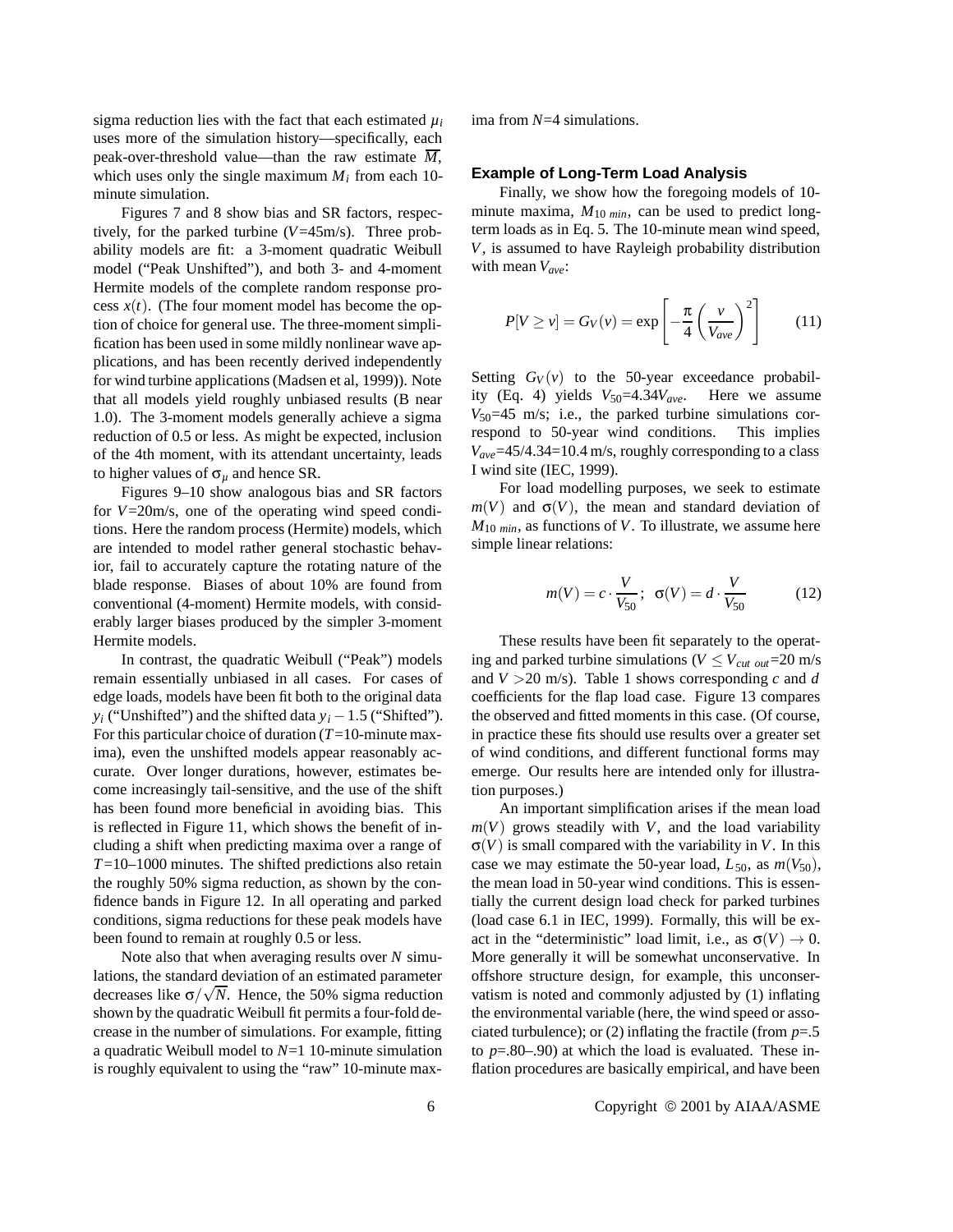sigma reduction lies with the fact that each estimated  $\mu_i$ uses more of the simulation history—specifically, each peak-over-threshold value—than the raw estimate  $\overline{M}$ , which uses only the single maximum  $M_i$  from each 10minute simulation.

Figures 7 and 8 show bias and SR factors, respectively, for the parked turbine (*V*=45m/s). Three probability models are fit: a 3-moment quadratic Weibull model ("Peak Unshifted"), and both 3- and 4-moment Hermite models of the complete random response process  $x(t)$ . (The four moment model has become the option of choice for general use. The three-moment simplification has been used in some mildly nonlinear wave applications, and has been recently derived independently for wind turbine applications (Madsen et al, 1999)). Note that all models yield roughly unbiased results (B near 1.0). The 3-moment models generally achieve a sigma reduction of 0.5 or less. As might be expected, inclusion of the 4th moment, with its attendant uncertainty, leads to higher values of σ*<sup>µ</sup>* and hence SR.

Figures 9–10 show analogous bias and SR factors for *V*=20m/s, one of the operating wind speed conditions. Here the random process (Hermite) models, which are intended to model rather general stochastic behavior, fail to accurately capture the rotating nature of the blade response. Biases of about 10% are found from conventional (4-moment) Hermite models, with considerably larger biases produced by the simpler 3-moment Hermite models.

In contrast, the quadratic Weibull ("Peak") models remain essentially unbiased in all cases. For cases of edge loads, models have been fit both to the original data *y<sub>i</sub>* ("Unshifted") and the shifted data  $y_i - 1.5$  ("Shifted"). For this particular choice of duration (*T*=10-minute maxima), even the unshifted models appear reasonably accurate. Over longer durations, however, estimates become increasingly tail-sensitive, and the use of the shift has been found more beneficial in avoiding bias. This is reflected in Figure 11, which shows the benefit of including a shift when predicting maxima over a range of *T*=10–1000 minutes. The shifted predictions also retain the roughly 50% sigma reduction, as shown by the confidence bands in Figure 12. In all operating and parked conditions, sigma reductions for these peak models have been found to remain at roughly 0.5 or less.

Note also that when averaging results over *N* simulations, the standard deviation of an estimated parameter ations, the standard deviation of an estimated parameter<br>decreases like  $\sigma/\sqrt{N}$ . Hence, the 50% sigma reduction shown by the quadratic Weibull fit permits a four-fold decrease in the number of simulations. For example, fitting a quadratic Weibull model to *N*=1 10-minute simulation is roughly equivalent to using the "raw" 10-minute maxima from *N*=4 simulations.

#### **Example of Long-Term Load Analysis**

Finally, we show how the foregoing models of 10 minute maxima,  $M_{10 \text{ min}}$ , can be used to predict longterm loads as in Eq. 5. The 10-minute mean wind speed, *V*, is assumed to have Rayleigh probability distribution with mean *Vave*:

$$
P[V \ge v] = G_V(v) = \exp\left[-\frac{\pi}{4}\left(\frac{v}{V_{ave}}\right)^2\right]
$$
 (11)

Setting  $G_V(v)$  to the 50-year exceedance probability (Eq. 4) yields  $V_{50} = 4.34V_{ave}$ . Here we assume  $V_{50}$ =45 m/s; i.e., the parked turbine simulations correspond to 50-year wind conditions. This implies *Vave*=45/4.34=10.4 m/s, roughly corresponding to a class I wind site (IEC, 1999).

For load modelling purposes, we seek to estimate  $m(V)$  and  $\sigma(V)$ , the mean and standard deviation of *M*<sup>10</sup> *min*, as functions of *V*. To illustrate, we assume here simple linear relations:

$$
m(V) = c \cdot \frac{V}{V_{50}}; \ \sigma(V) = d \cdot \frac{V}{V_{50}} \tag{12}
$$

These results have been fit separately to the operating and parked turbine simulations ( $V \leq V_{cut}$  out=20 m/s and  $V > 20$  m/s). Table 1 shows corresponding *c* and *d* coefficients for the flap load case. Figure 13 compares the observed and fitted moments in this case. (Of course, in practice these fits should use results over a greater set of wind conditions, and different functional forms may emerge. Our results here are intended only for illustration purposes.)

An important simplification arises if the mean load  $m(V)$  grows steadily with *V*, and the load variability  $\sigma(V)$  is small compared with the variability in *V*. In this case we may estimate the 50-year load,  $L_{50}$ , as  $m(V_{50})$ , the mean load in 50-year wind conditions. This is essentially the current design load check for parked turbines (load case 6.1 in IEC, 1999). Formally, this will be exact in the "deterministic" load limit, i.e., as  $\sigma(V) \to 0$ . More generally it will be somewhat unconservative. In offshore structure design, for example, this unconservatism is noted and commonly adjusted by (1) inflating the environmental variable (here, the wind speed or associated turbulence); or (2) inflating the fractile (from *p*=.5 to *p*=.80–.90) at which the load is evaluated. These inflation procedures are basically empirical, and have been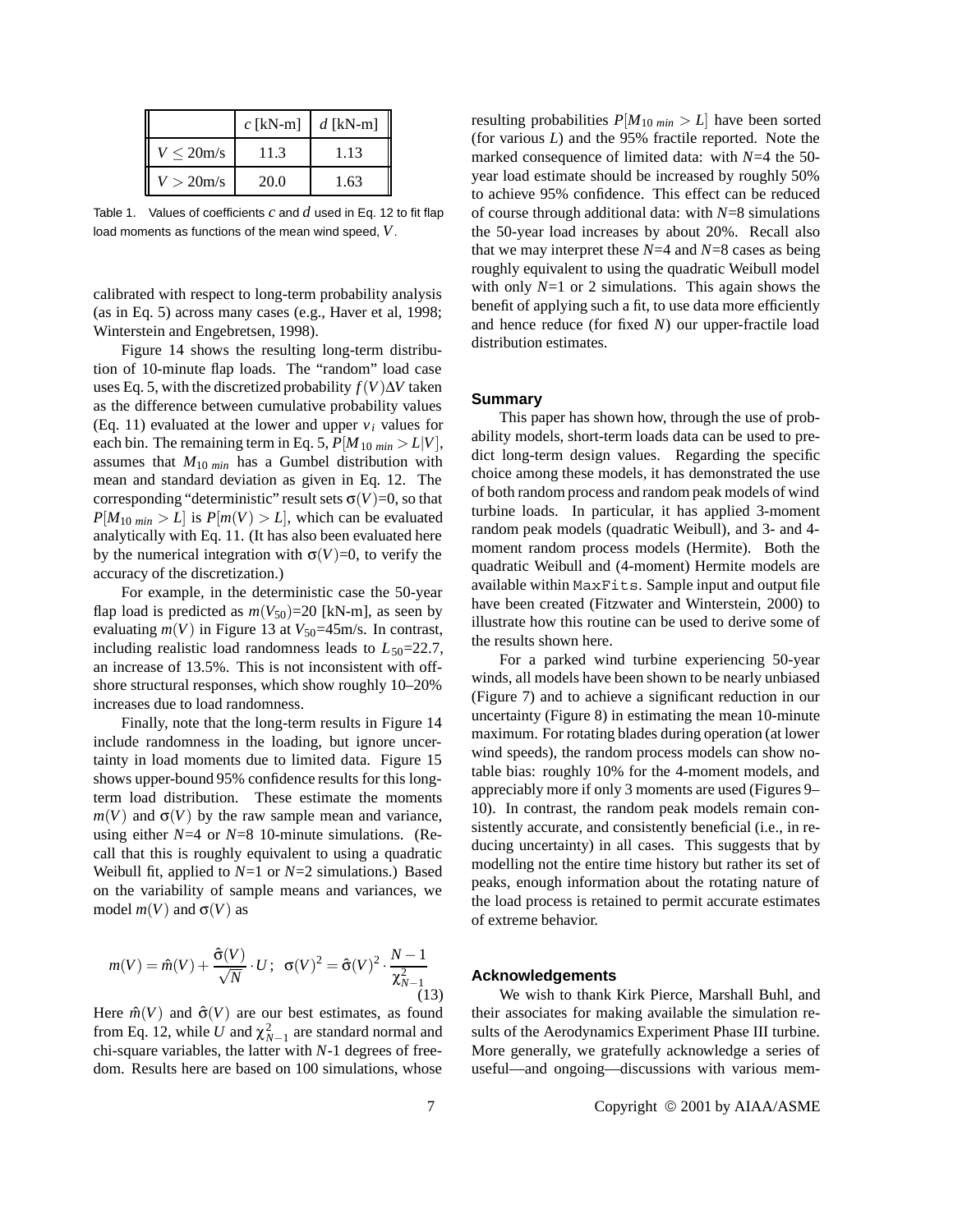|                 | c [kN-m] $\mid d$ [kN-m] |      |
|-----------------|--------------------------|------|
| $V \leq 20$ m/s | 11.3                     | 1.13 |
| $V > 20$ m/s    | 20.0                     | 1.63 |

Table 1. Values of coefficients *c* and *d* used in Eq. 12 to fit flap load moments as functions of the mean wind speed, *V*.

calibrated with respect to long-term probability analysis (as in Eq. 5) across many cases (e.g., Haver et al, 1998; Winterstein and Engebretsen, 1998).

Figure 14 shows the resulting long-term distribution of 10-minute flap loads. The "random" load case uses Eq. 5, with the discretized probability  $f(V)\Delta V$  taken as the difference between cumulative probability values (Eq. 11) evaluated at the lower and upper  $v_i$  values for each bin. The remaining term in Eq. 5,  $P[M_{10 min} > L|V]$ , assumes that  $M_{10 \text{ min}}$  has a Gumbel distribution with mean and standard deviation as given in Eq. 12. The corresponding "deterministic" result sets  $\sigma(V)=0$ , so that  $P[M_{10 \text{ min}} > L]$  is  $P[m(V) > L]$ , which can be evaluated analytically with Eq. 11. (It has also been evaluated here by the numerical integration with  $\sigma(V)=0$ , to verify the accuracy of the discretization.)

For example, in the deterministic case the 50-year flap load is predicted as  $m(V_{50})=20$  [kN-m], as seen by evaluating  $m(V)$  in Figure 13 at  $V_{50} = 45 \text{ m/s}$ . In contrast, including realistic load randomness leads to  $L_{50}$ =22.7, an increase of 13.5%. This is not inconsistent with offshore structural responses, which show roughly 10–20% increases due to load randomness.

Finally, note that the long-term results in Figure 14 include randomness in the loading, but ignore uncertainty in load moments due to limited data. Figure 15 shows upper-bound 95% confidence results for this longterm load distribution. These estimate the moments  $m(V)$  and  $\sigma(V)$  by the raw sample mean and variance, using either *N*=4 or *N*=8 10-minute simulations. (Recall that this is roughly equivalent to using a quadratic Weibull fit, applied to *N*=1 or *N*=2 simulations.) Based on the variability of sample means and variances, we model  $m(V)$  and  $\sigma(V)$  as

$$
m(V) = \hat{m}(V) + \frac{\hat{\sigma}(V)}{\sqrt{N}} \cdot U; \quad \sigma(V)^2 = \hat{\sigma}(V)^2 \cdot \frac{N-1}{\chi_{N-1}^2}
$$
\n(13)

Here  $\hat{m}(V)$  and  $\hat{\sigma}(V)$  are our best estimates, as found from Eq. 12, while *U* and  $\chi^2_{N-1}$  are standard normal and chi-square variables, the latter with *N*-1 degrees of freedom. Results here are based on 100 simulations, whose

resulting probabilities  $P[M_{10 \text{ min}} > L]$  have been sorted (for various *L*) and the 95% fractile reported. Note the marked consequence of limited data: with *N*=4 the 50 year load estimate should be increased by roughly 50% to achieve 95% confidence. This effect can be reduced of course through additional data: with *N*=8 simulations the 50-year load increases by about 20%. Recall also that we may interpret these *N*=4 and *N*=8 cases as being roughly equivalent to using the quadratic Weibull model with only  $N=1$  or 2 simulations. This again shows the benefit of applying such a fit, to use data more efficiently and hence reduce (for fixed *N*) our upper-fractile load distribution estimates.

## **Summary**

This paper has shown how, through the use of probability models, short-term loads data can be used to predict long-term design values. Regarding the specific choice among these models, it has demonstrated the use of both random process and random peak models of wind turbine loads. In particular, it has applied 3-moment random peak models (quadratic Weibull), and 3- and 4 moment random process models (Hermite). Both the quadratic Weibull and (4-moment) Hermite models are available within MaxFits. Sample input and output file have been created (Fitzwater and Winterstein, 2000) to illustrate how this routine can be used to derive some of the results shown here.

For a parked wind turbine experiencing 50-year winds, all models have been shown to be nearly unbiased (Figure 7) and to achieve a significant reduction in our uncertainty (Figure 8) in estimating the mean 10-minute maximum. For rotating blades during operation (at lower wind speeds), the random process models can show notable bias: roughly 10% for the 4-moment models, and appreciably more if only 3 moments are used (Figures 9– 10). In contrast, the random peak models remain consistently accurate, and consistently beneficial (i.e., in reducing uncertainty) in all cases. This suggests that by modelling not the entire time history but rather its set of peaks, enough information about the rotating nature of the load process is retained to permit accurate estimates of extreme behavior.

#### **Acknowledgements**

We wish to thank Kirk Pierce, Marshall Buhl, and their associates for making available the simulation results of the Aerodynamics Experiment Phase III turbine. More generally, we gratefully acknowledge a series of useful—and ongoing—discussions with various mem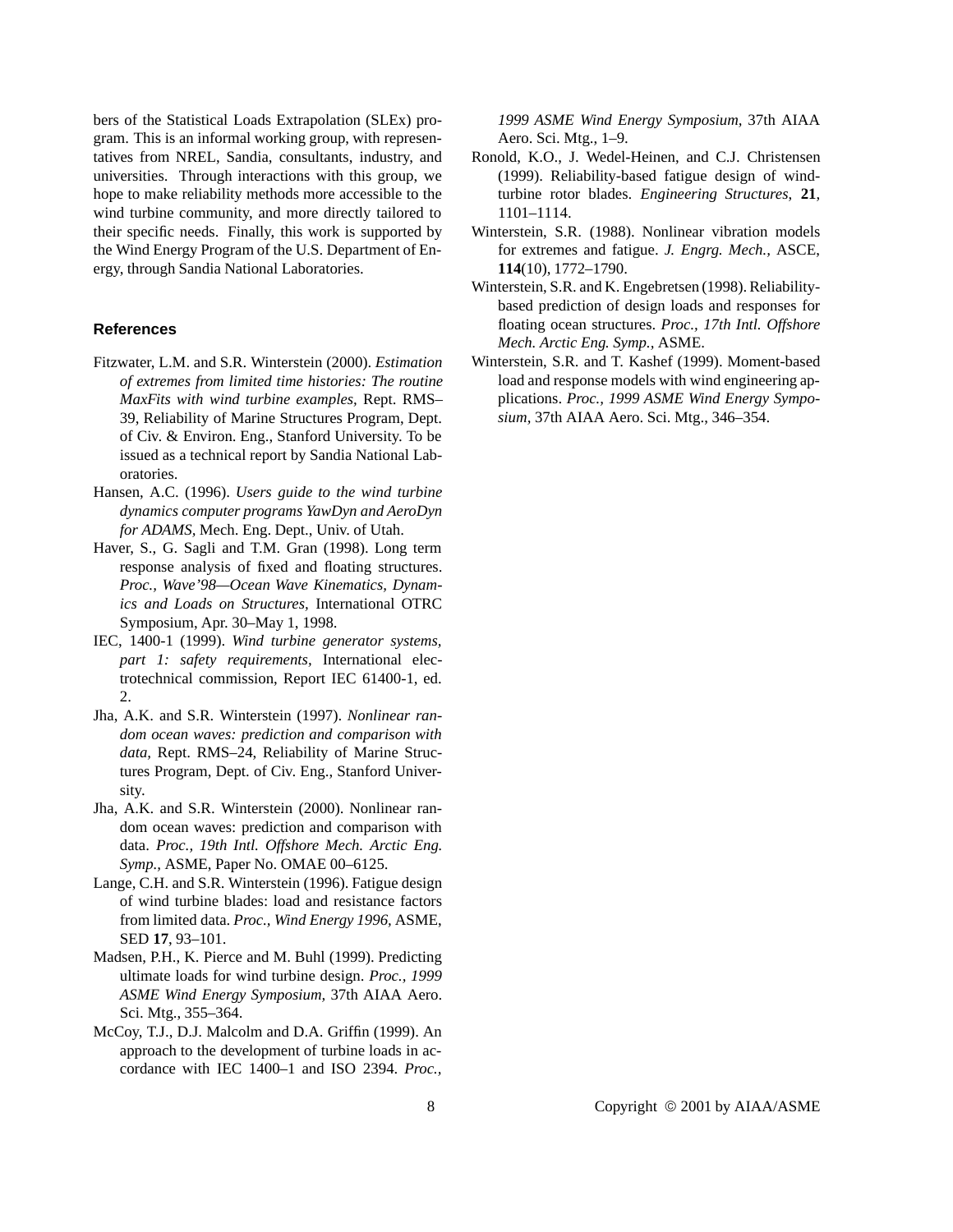bers of the Statistical Loads Extrapolation (SLEx) program. This is an informal working group, with representatives from NREL, Sandia, consultants, industry, and universities. Through interactions with this group, we hope to make reliability methods more accessible to the wind turbine community, and more directly tailored to their specific needs. Finally, this work is supported by the Wind Energy Program of the U.S. Department of Energy, through Sandia National Laboratories.

#### **References**

- Fitzwater, L.M. and S.R. Winterstein (2000). *Estimation of extremes from limited time histories: The routine MaxFits with wind turbine examples,* Rept. RMS– 39, Reliability of Marine Structures Program, Dept. of Civ. & Environ. Eng., Stanford University. To be issued as a technical report by Sandia National Laboratories.
- Hansen, A.C. (1996). *Users guide to the wind turbine dynamics computer programs YawDyn and AeroDyn for ADAMS,* Mech. Eng. Dept., Univ. of Utah.
- Haver, S., G. Sagli and T.M. Gran (1998). Long term response analysis of fixed and floating structures. *Proc., Wave'98—Ocean Wave Kinematics, Dynamics and Loads on Structures,* International OTRC Symposium, Apr. 30–May 1, 1998.
- IEC, 1400-1 (1999). *Wind turbine generator systems, part 1: safety requirements,* International electrotechnical commission, Report IEC 61400-1, ed. 2.
- Jha, A.K. and S.R. Winterstein (1997). *Nonlinear random ocean waves: prediction and comparison with data,* Rept. RMS–24, Reliability of Marine Structures Program, Dept. of Civ. Eng., Stanford University.
- Jha, A.K. and S.R. Winterstein (2000). Nonlinear random ocean waves: prediction and comparison with data. *Proc., 19th Intl. Offshore Mech. Arctic Eng. Symp.,* ASME, Paper No. OMAE 00–6125.
- Lange, C.H. and S.R. Winterstein (1996). Fatigue design of wind turbine blades: load and resistance factors from limited data. *Proc., Wind Energy 1996,* ASME, SED **17**, 93–101.
- Madsen, P.H., K. Pierce and M. Buhl (1999). Predicting ultimate loads for wind turbine design. *Proc., 1999 ASME Wind Energy Symposium,* 37th AIAA Aero. Sci. Mtg., 355–364.
- McCoy, T.J., D.J. Malcolm and D.A. Griffin (1999). An approach to the development of turbine loads in accordance with IEC 1400–1 and ISO 2394. *Proc.,*

*1999 ASME Wind Energy Symposium,* 37th AIAA Aero. Sci. Mtg., 1–9.

- Ronold, K.O., J. Wedel-Heinen, and C.J. Christensen (1999). Reliability-based fatigue design of windturbine rotor blades. *Engineering Structures*, **21**, 1101–1114.
- Winterstein, S.R. (1988). Nonlinear vibration models for extremes and fatigue. *J. Engrg. Mech.,* ASCE, **114**(10), 1772–1790.
- Winterstein, S.R. and K. Engebretsen (1998). Reliabilitybased prediction of design loads and responses for floating ocean structures. *Proc., 17th Intl. Offshore Mech. Arctic Eng. Symp.,* ASME.
- Winterstein, S.R. and T. Kashef (1999). Moment-based load and response models with wind engineering applications. *Proc., 1999 ASME Wind Energy Symposium,* 37th AIAA Aero. Sci. Mtg., 346–354.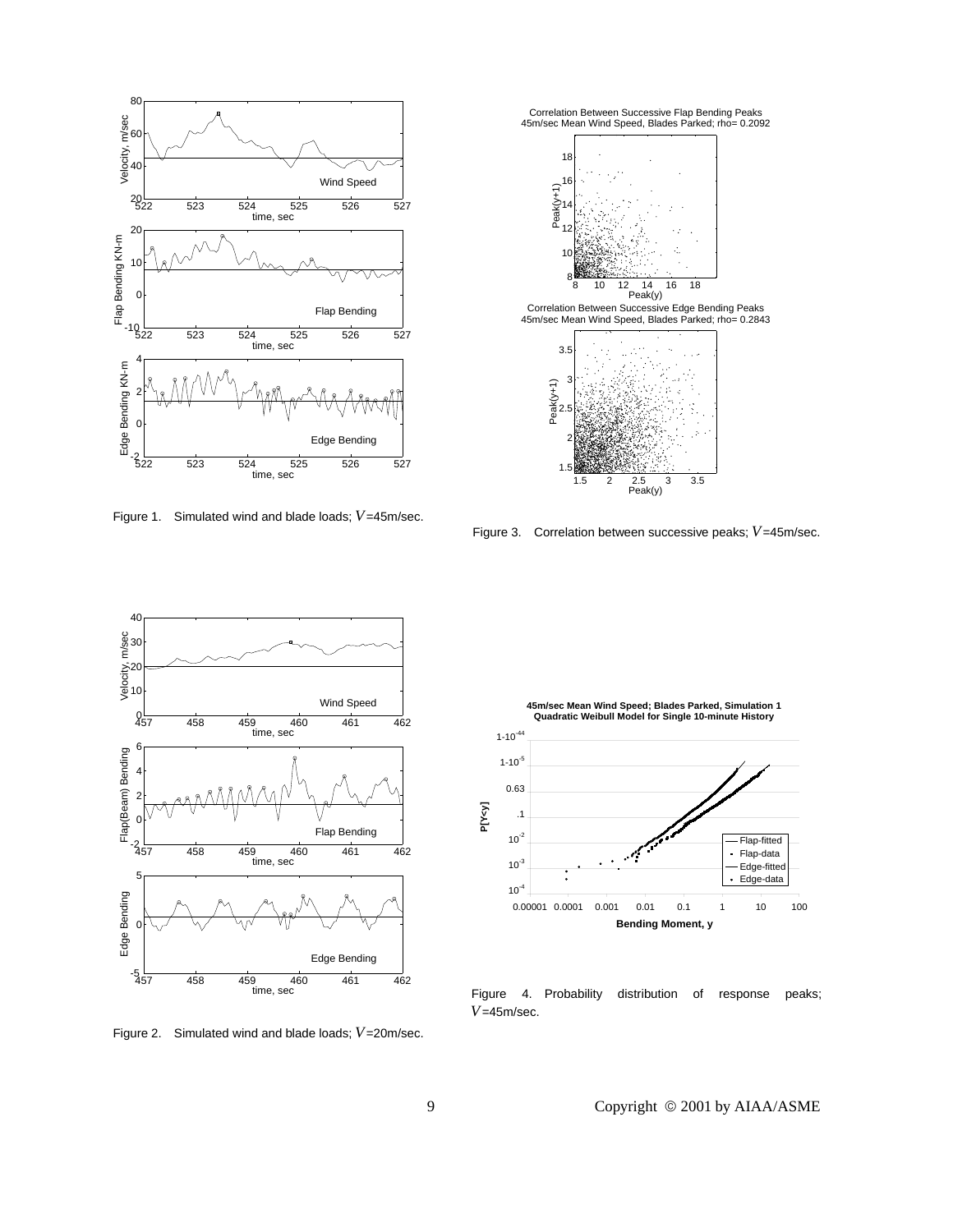

Figure 1. Simulated wind and blade loads; *V*=45m/sec.



Figure 3. Correlation between successive peaks; *V*=45m/sec.



Figure 2. Simulated wind and blade loads; *V*=20m/sec.



Figure 4. Probability distribution of response peaks; *V*=45m/sec.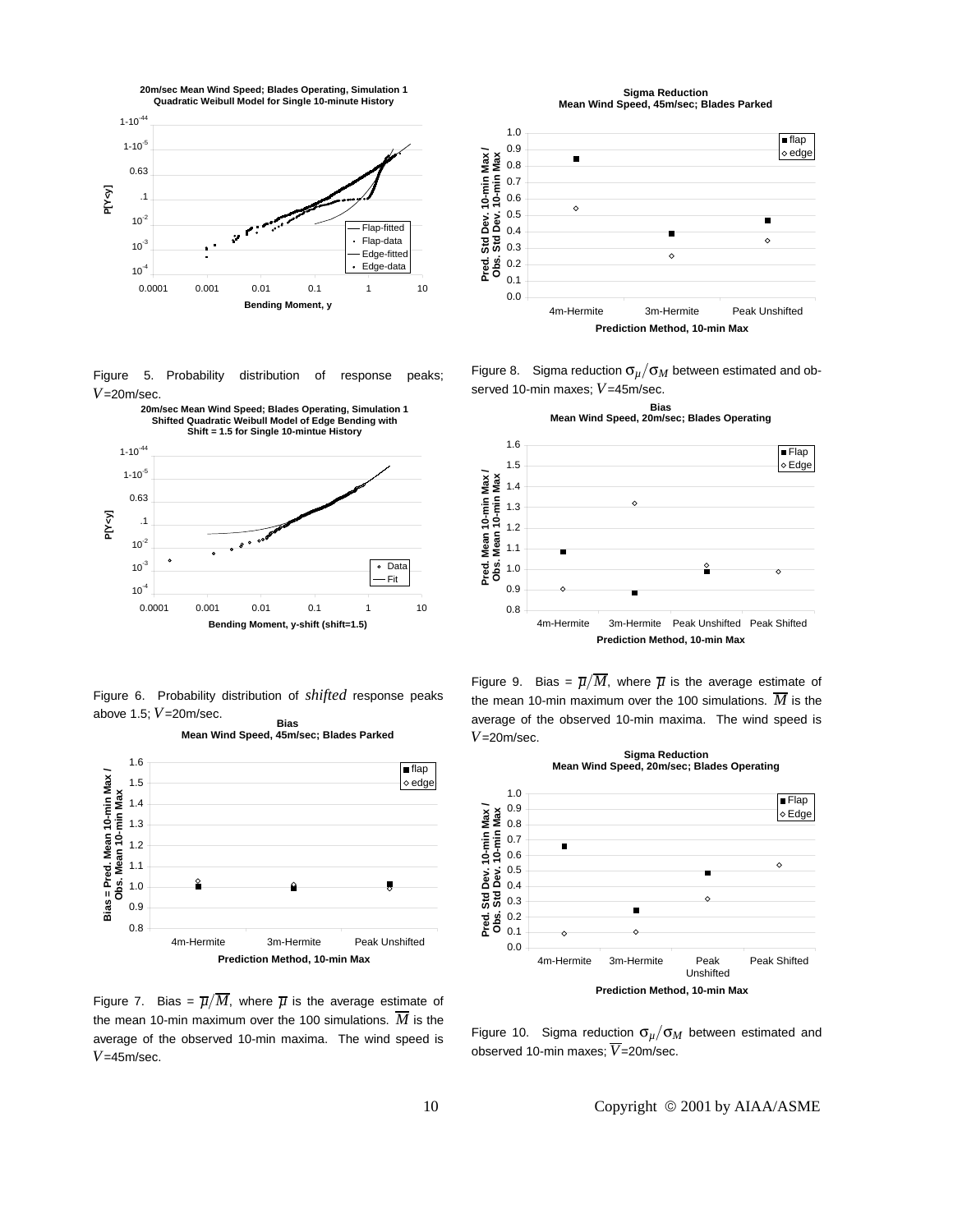

Figure 5. Probability distribution of response peaks; *V*=20m/sec.



Figure 6. Probability distribution of *shifted* response peaks above 1.5; *V*=20m/sec. **Bias**

**Mean Wind Speed, 45m/sec; Blades Parked**



Figure 7. Bias =  $\overline{\mu}/\overline{M}$ , where  $\overline{\mu}$  is the average estimate of the mean 10-min maximum over the 100 simulations.  $\overline{M}$  is the average of the observed 10-min maxima. The wind speed is *V*=45m/sec.

**Sigma Reduction Mean Wind Speed, 45m/sec; Blades Parked**



Figure 8. Sigma reduction σ*µ*/σ*<sup>M</sup>* between estimated and observed 10-min maxes; *V*=45m/sec.

**Bias**



Figure 9. Bias =  $\overline{\mu}/\overline{M}$ , where  $\overline{\mu}$  is the average estimate of the mean 10-min maximum over the 100 simulations.  $\overline{M}$  is the average of the observed 10-min maxima. The wind speed is *V*=20m/sec.



Figure 10. Sigma reduction σ*µ*/σ*<sup>M</sup>* between estimated and observed 10-min maxes; *V*=20m/sec.